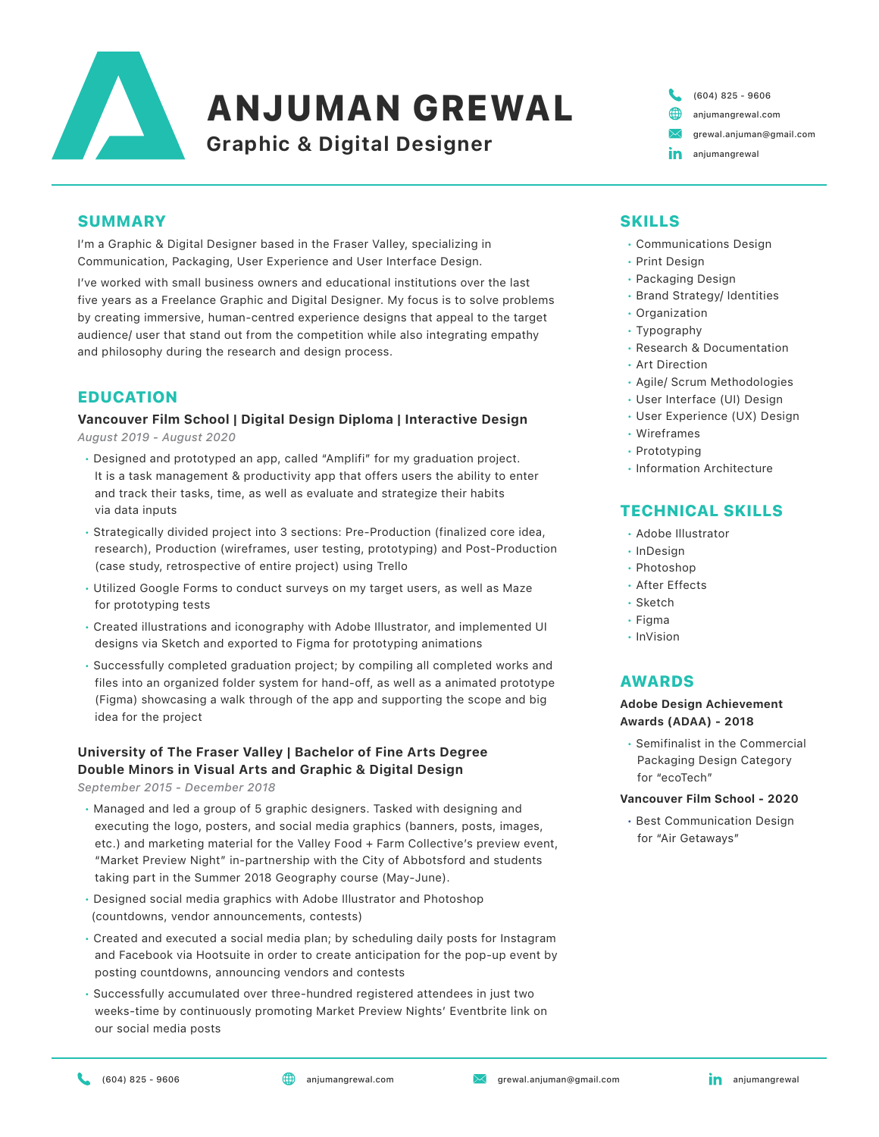

# ANJUMAN GREWAL

**Graphic & Digital Designer**

(604) 825 - 9606 [anjumangrewal.com](http://anjumangrewal.com)  $\boxtimes$ grewal.anjuman@gmail.com in anjumangrewal

## SUMMARY

I'm a Graphic & Digital Designer based in the Fraser Valley, specializing in Communication, Packaging, User Experience and User Interface Design.

I've worked with small business owners and educational institutions over the last five years as a Freelance Graphic and Digital Designer. My focus is to solve problems by creating immersive, human-centred experience designs that appeal to the target audience/ user that stand out from the competition while also integrating empathy and philosophy during the research and design process.

## EDUCATION

# **Vancouver Film School | Digital Design Diploma | Interactive Design**

*August 2019 - August 2020*

- Designed and prototyped an app, called ["Amplifi"](https://www.behance.net/gallery/101971077/amplifi) for my graduation project. It is a task management & productivity app that offers users the ability to enter and track their tasks, time, as well as evaluate and strategize their habits via data inputs
- Strategically divided project into 3 sections: Pre-Production (finalized core idea, research), Production (wireframes, user testing, prototyping) and Post-Production (case study, retrospective of entire project) using Trello
- Utilized Google Forms to conduct surveys on my target users, as well as Maze for prototyping tests
- Created illustrations and iconography with Adobe Illustrator, and implemented UI designs via Sketch and exported to Figma for prototyping animations
- Successfully completed graduation project; by compiling all completed works and files into an organized folder system for hand-off, as well as a animated prototype (Figma) showcasing a walk through of the app and supporting the scope and big idea for the project

## **University of The Fraser Valley | Bachelor of Fine Arts Degree Double Minors in Visual Arts and Graphic & Digital Design**

*September 2015 - December 2018*

- Managed and led a group of 5 graphic designers. Tasked with designing and executing the logo, posters, and social media graphics (banners, posts, images, etc.) and marketing material for the Valley Food + Farm Collective's preview event, "Market Preview Night" in-partnership with the City of Abbotsford and students taking part in the Summer 2018 Geography course (May-June).
- Designed social media graphics with Adobe Illustrator and Photoshop (countdowns, vendor announcements, contests)
- Created and executed a social media plan; by scheduling daily posts for [Instagram](https://www.instagram.com/marketpreviewnight/) and [Facebook](https://www.facebook.com/marketpreviewnight/about/) via Hootsuite in order to create anticipation for the pop-up event by posting countdowns, announcing vendors and contests
- Successfully accumulated over three-hundred registered attendees in just two weeks-time by continuously promoting Market Preview Nights' [Eventbrite](https://www.eventbrite.ca/e/market-preview-night-at-the-rail-district-tickets-46633163046?utm-medium=discovery&utm-campaign=social&utm-content=attendeeshare&aff=esfb&utm-source=fb&utm-term=listing&fbclid=IwAR0JkHGyPr57DqGBFNjo1IBSBjPqZol5YSzj4GJbi_iy99Qn2fS_p6K8q74) link on our social media posts

# SKILLS

- Communications Design
- Print Design
- Packaging Design
- Brand Strategy/ Identities
- Organization
- Typography
- Research & Documentation
- Art Direction
- Agile/ Scrum Methodologies
- User Interface (UI) Design
- User Experience (UX) Design
- Wireframes
- Prototyping
- Information Architecture

## TECHNICAL SKILLS

- Adobe Illustrator
- InDesign
- Photoshop
- After Effects
- Sketch
- Figma
- InVision

## AWARDS

#### **[Adobe Design Achievement](https://www.anjumangrewal.com/copy-of-hollow-grind)  [Awards \(ADAA\)](https://www.anjumangrewal.com/copy-of-hollow-grind) - 2018**

 • Semifinalist in the [Commercial](https://www.anjumangrewal.com/copy-of-hollow-grind)   [Packaging Design Category](https://www.anjumangrewal.com/copy-of-hollow-grind) for ["ecoTech"](https://www.adobeawards.com/the-gallery?utm_source=web&utm_medium=live&utm_term=20187077&utm_campaign=credly-badge&liveproject=20187077)

#### **[Vancouver Film School - 2020](https://www.anjumangrewal.com/air-getaways)**

 [• Best Communication Design](https://www.anjumangrewal.com/air-getaways) for ["Air Getaways](https://www.anjumangrewal.com/air-getaways)"